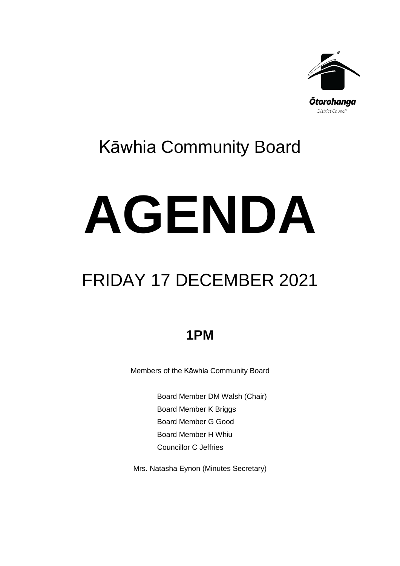

## Kāwhia Community Board

# **AGENDA**

# FRIDAY 17 DECEMBER 2021

## **1PM**

Members of the Kāwhia Community Board

Board Member DM Walsh (Chair) Board Member K Briggs Board Member G Good Board Member H Whiu Councillor C Jeffries

Mrs. Natasha Eynon (Minutes Secretary)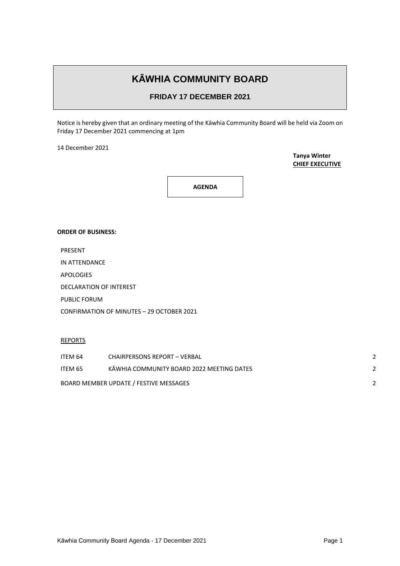### **KĀWHIA COMMUNITY BOARD**

#### **FRIDAY 17 DECEMBER 2021**

Notice is hereby given that an ordinary meeting of the Kāwhia Community Board will be held via Zoom on Friday 17 December 2021 commencing at 1pm

14 December 2021

**Tanya Winter CHIEF EXECUTIVE**

**AGENDA**

#### **ORDER OF BUSINESS:**

PRESENT

APOLOGIES

DECLARATION OF INTEREST

PUBLIC FORUM

CONFIRMATION OF MINUTES – 29 OCTOBER 2021

REPORTS

| ITEM 64                                | <b>CHAIRPERSONS REPORT - VERBAL</b>       |  |
|----------------------------------------|-------------------------------------------|--|
| ITEM 65                                | KAWHIA COMMUNITY BOARD 2022 MEETING DATES |  |
| BOARD MEMBER UPDATE / FESTIVE MESSAGES |                                           |  |